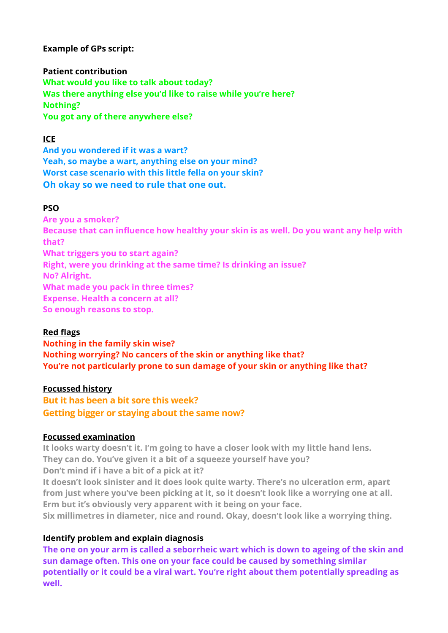**Example of GPs script:** 

**Patient contribution What would you like to talk about today? Was there anything else you'd like to raise while you're here? Nothing? You got any of there anywhere else?** 

# **ICE**

**And you wondered if it was a wart? Yeah, so maybe a wart, anything else on your mind? Worst case scenario with this little fella on your skin? Oh okay so we need to rule that one out.**

## **PSO**

**Are you a smoker? Because that can influence how healthy your skin is as well. Do you want any help with that? What triggers you to start again? Right, were you drinking at the same time? Is drinking an issue? No? Alright. What made you pack in three times? Expense. Health a concern at all? So enough reasons to stop.** 

## **Red flags**

**Nothing in the family skin wise? Nothing worrying? No cancers of the skin or anything like that? You're not particularly prone to sun damage of your skin or anything like that?** 

#### **Focussed history**

**But it has been a bit sore this week? Getting bigger or staying about the same now?**

## **Focussed examination**

**It looks warty doesn't it. I'm going to have a closer look with my little hand lens. They can do. You've given it a bit of a squeeze yourself have you? Don't mind if i have a bit of a pick at it?** 

**It doesn't look sinister and it does look quite warty. There's no ulceration erm, apart from just where you've been picking at it, so it doesn't look like a worrying one at all. Erm but it's obviously very apparent with it being on your face.** 

**Six millimetres in diameter, nice and round. Okay, doesn't look like a worrying thing.** 

## **Identify problem and explain diagnosis**

**The one on your arm is called a seborrheic wart which is down to ageing of the skin and sun damage often. This one on your face could be caused by something similar potentially or it could be a viral wart. You're right about them potentially spreading as well.**